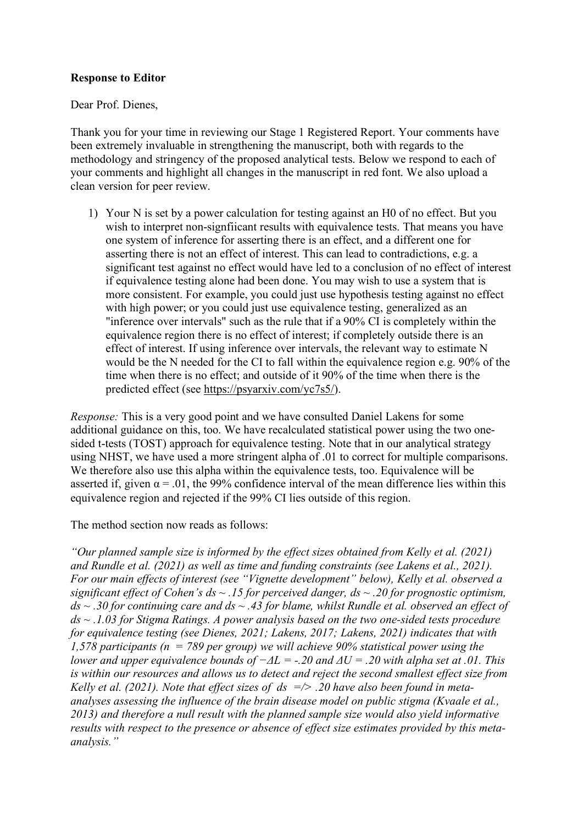## **Response to Editor**

Dear Prof. Dienes,

Thank you for your time in reviewing our Stage 1 Registered Report. Your comments have been extremely invaluable in strengthening the manuscript, both with regards to the methodology and stringency of the proposed analytical tests. Below we respond to each of your comments and highlight all changes in the manuscript in red font. We also upload a clean version for peer review.

1) Your N is set by a power calculation for testing against an H0 of no effect. But you wish to interpret non-signfiicant results with equivalence tests. That means you have one system of inference for asserting there is an effect, and a different one for asserting there is not an effect of interest. This can lead to contradictions, e.g. a significant test against no effect would have led to a conclusion of no effect of interest if equivalence testing alone had been done. You may wish to use a system that is more consistent. For example, you could just use hypothesis testing against no effect with high power; or you could just use equivalence testing, generalized as an "inference over intervals" such as the rule that if a 90% CI is completely within the equivalence region there is no effect of interest; if completely outside there is an effect of interest. If using inference over intervals, the relevant way to estimate N would be the N needed for the CI to fall within the equivalence region e.g. 90% of the time when there is no effect; and outside of it 90% of the time when there is the predicted effect (see [https://psyarxiv.com/yc7s5/\)](https://psyarxiv.com/yc7s5/).

*Response:* This is a very good point and we have consulted Daniel Lakens for some additional guidance on this, too. We have recalculated statistical power using the two onesided t-tests (TOST) approach for equivalence testing. Note that in our analytical strategy using NHST, we have used a more stringent alpha of .01 to correct for multiple comparisons. We therefore also use this alpha within the equivalence tests, too. Equivalence will be asserted if, given  $\alpha$  = .01, the 99% confidence interval of the mean difference lies within this equivalence region and rejected if the 99% CI lies outside of this region.

The method section now reads as follows:

*"Our planned sample size is informed by the effect sizes obtained from Kelly et al. (2021) and Rundle et al. (2021) as well as time and funding constraints (see Lakens et al., 2021). For our main effects of interest (see "Vignette development" below), Kelly et al. observed a significant effect of Cohen's ds ~ .15 for perceived danger, ds ~ .20 for prognostic optimism, ds ~ .30 for continuing care and ds ~ .43 for blame, whilst Rundle et al. observed an effect of ds ~ .1.03 for Stigma Ratings. A power analysis based on the two one-sided tests procedure for equivalence testing (see Dienes, 2021; Lakens, 2017; Lakens, 2021) indicates that with 1,578 participants (n = 789 per group) we will achieve 90% statistical power using the lower and upper equivalence bounds of −ΔL = -.20 and ΔU = .20 with alpha set at .01. This is within our resources and allows us to detect and reject the second smallest effect size from Kelly et al. (2021). Note that effect sizes of ds =/> .20 have also been found in metaanalyses assessing the influence of the brain disease model on public stigma (Kvaale et al., 2013) and therefore a null result with the planned sample size would also yield informative results with respect to the presence or absence of effect size estimates provided by this metaanalysis."*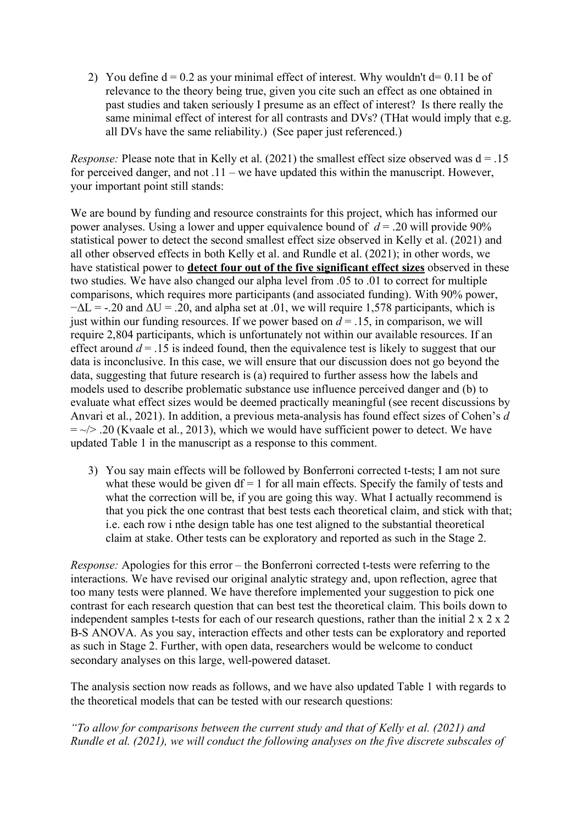2) You define  $d = 0.2$  as your minimal effect of interest. Why wouldn't  $d = 0.11$  be of relevance to the theory being true, given you cite such an effect as one obtained in past studies and taken seriously I presume as an effect of interest? Is there really the same minimal effect of interest for all contrasts and DVs? (THat would imply that e.g. all DVs have the same reliability.) (See paper just referenced.)

*Response:* Please note that in Kelly et al. (2021) the smallest effect size observed was  $d = .15$ for perceived danger, and not .11 – we have updated this within the manuscript. However, your important point still stands:

We are bound by funding and resource constraints for this project, which has informed our power analyses. Using a lower and upper equivalence bound of *d* = .20 will provide 90% statistical power to detect the second smallest effect size observed in Kelly et al. (2021) and all other observed effects in both Kelly et al. and Rundle et al. (2021); in other words, we have statistical power to **detect four out of the five significant effect sizes** observed in these two studies. We have also changed our alpha level from .05 to .01 to correct for multiple comparisons, which requires more participants (and associated funding). With 90% power,  $-\Delta L$  = -.20 and  $\Delta U$  = .20, and alpha set at .01, we will require 1,578 participants, which is just within our funding resources. If we power based on  $d = 0.15$ , in comparison, we will require 2,804 participants, which is unfortunately not within our available resources. If an effect around  $d = 0.15$  is indeed found, then the equivalence test is likely to suggest that our data is inconclusive. In this case, we will ensure that our discussion does not go beyond the data, suggesting that future research is (a) required to further assess how the labels and models used to describe problematic substance use influence perceived danger and (b) to evaluate what effect sizes would be deemed practically meaningful (see recent discussions by Anvari et al., 2021). In addition, a previous meta-analysis has found effect sizes of Cohen's *d*   $=$   $\sim$   $/$   $\ge$  .20 (Kvaale et al., 2013), which we would have sufficient power to detect. We have updated Table 1 in the manuscript as a response to this comment.

3) You say main effects will be followed by Bonferroni corrected t-tests; I am not sure what these would be given  $df = 1$  for all main effects. Specify the family of tests and what the correction will be, if you are going this way. What I actually recommend is that you pick the one contrast that best tests each theoretical claim, and stick with that; i.e. each row i nthe design table has one test aligned to the substantial theoretical claim at stake. Other tests can be exploratory and reported as such in the Stage 2.

*Response:* Apologies for this error – the Bonferroni corrected t-tests were referring to the interactions. We have revised our original analytic strategy and, upon reflection, agree that too many tests were planned. We have therefore implemented your suggestion to pick one contrast for each research question that can best test the theoretical claim. This boils down to independent samples t-tests for each of our research questions, rather than the initial 2 x 2 x 2 B-S ANOVA. As you say, interaction effects and other tests can be exploratory and reported as such in Stage 2. Further, with open data, researchers would be welcome to conduct secondary analyses on this large, well-powered dataset.

The analysis section now reads as follows, and we have also updated Table 1 with regards to the theoretical models that can be tested with our research questions:

*"To allow for comparisons between the current study and that of Kelly et al. (2021) and Rundle et al. (2021), we will conduct the following analyses on the five discrete subscales of*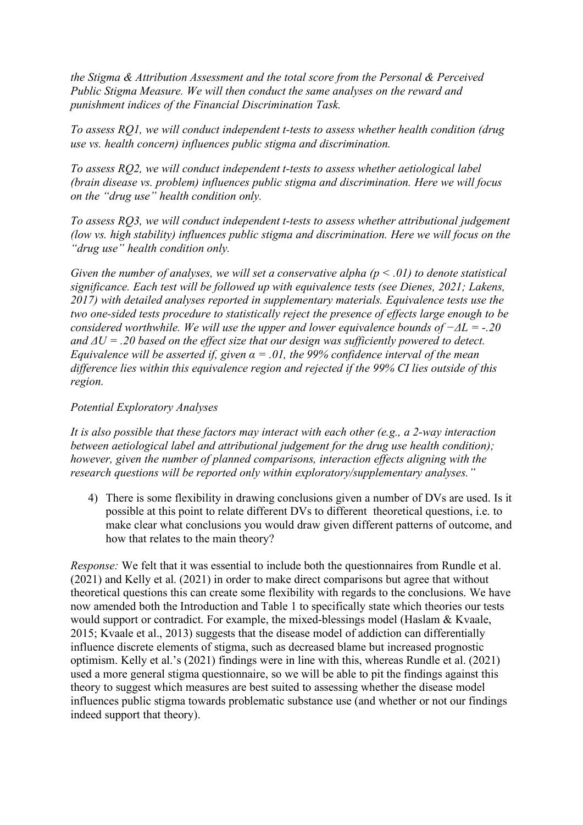*the Stigma & Attribution Assessment and the total score from the Personal & Perceived Public Stigma Measure. We will then conduct the same analyses on the reward and punishment indices of the Financial Discrimination Task.* 

*To assess RQ1, we will conduct independent t-tests to assess whether health condition (drug use vs. health concern) influences public stigma and discrimination.* 

*To assess RQ2, we will conduct independent t-tests to assess whether aetiological label (brain disease vs. problem) influences public stigma and discrimination. Here we will focus on the "drug use" health condition only.* 

*To assess RQ3, we will conduct independent t-tests to assess whether attributional judgement (low vs. high stability) influences public stigma and discrimination. Here we will focus on the "drug use" health condition only.* 

*Given the number of analyses, we will set a conservative alpha (p < .01) to denote statistical significance. Each test will be followed up with equivalence tests (see Dienes, 2021; Lakens, 2017) with detailed analyses reported in supplementary materials. Equivalence tests use the two one-sided tests procedure to statistically reject the presence of effects large enough to be considered worthwhile. We will use the upper and lower equivalence bounds of −ΔL = -.20 and ΔU = .20 based on the effect size that our design was sufficiently powered to detect. Equivalence will be asserted if, given*  $\alpha = 0.01$ *, the 99% confidence interval of the mean difference lies within this equivalence region and rejected if the 99% CI lies outside of this region.* 

## *Potential Exploratory Analyses*

*It is also possible that these factors may interact with each other (e.g., a 2-way interaction between aetiological label and attributional judgement for the drug use health condition); however, given the number of planned comparisons, interaction effects aligning with the research questions will be reported only within exploratory/supplementary analyses."*

4) There is some flexibility in drawing conclusions given a number of DVs are used. Is it possible at this point to relate different DVs to different theoretical questions, i.e. to make clear what conclusions you would draw given different patterns of outcome, and how that relates to the main theory?

*Response:* We felt that it was essential to include both the questionnaires from Rundle et al. (2021) and Kelly et al. (2021) in order to make direct comparisons but agree that without theoretical questions this can create some flexibility with regards to the conclusions. We have now amended both the Introduction and Table 1 to specifically state which theories our tests would support or contradict. For example, the mixed-blessings model (Haslam & Kvaale, 2015; Kvaale et al., 2013) suggests that the disease model of addiction can differentially influence discrete elements of stigma, such as decreased blame but increased prognostic optimism. Kelly et al.'s (2021) findings were in line with this, whereas Rundle et al. (2021) used a more general stigma questionnaire, so we will be able to pit the findings against this theory to suggest which measures are best suited to assessing whether the disease model influences public stigma towards problematic substance use (and whether or not our findings indeed support that theory).